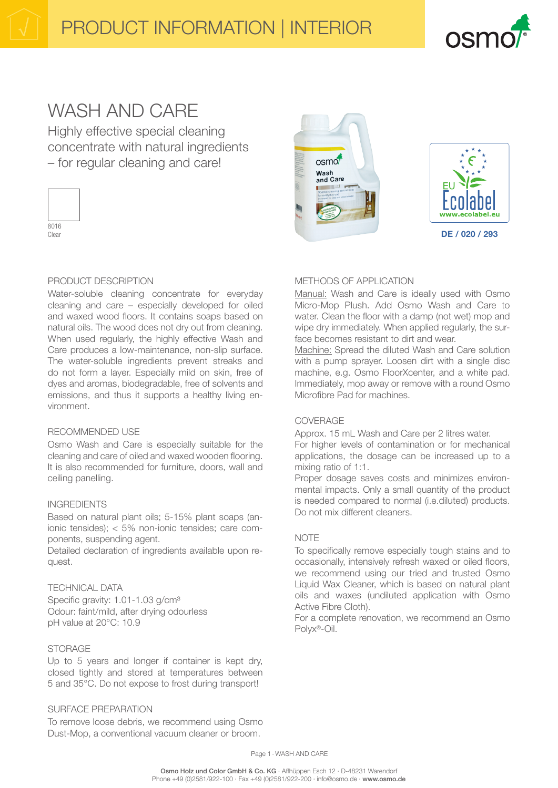

# WASH AND CARE

Highly effective special cleaning concentrate with natural ingredients – for regular cleaning and care!



 $n$ smo $\ell$ Wash<br>and Care



#### PRODUCT DESCRIPTION

Water-soluble cleaning concentrate for everyday cleaning and care – especially developed for oiled and waxed wood floors. It contains soaps based on natural oils. The wood does not dry out from cleaning. When used regularly, the highly effective Wash and Care produces a low-maintenance, non-slip surface. The water-soluble ingredients prevent streaks and do not form a layer. Especially mild on skin, free of dyes and aromas, biodegradable, free of solvents and emissions, and thus it supports a healthy living environment.

#### RECOMMENDED USE

Osmo Wash and Care is especially suitable for the cleaning and care of oiled and waxed wooden flooring. It is also recommended for furniture, doors, wall and ceiling panelling.

# INGREDIENTS

Based on natural plant oils; 5-15% plant soaps (anionic tensides); < 5% non-ionic tensides; care components, suspending agent.

Detailed declaration of ingredients available upon request.

#### TECHNICAL DATA

Specific gravity: 1.01-1.03 g/cm<sup>3</sup> Odour: faint/mild, after drying odourless pH value at 20°C: 10.9

# STORAGE

Up to 5 years and longer if container is kept dry, closed tightly and stored at temperatures between 5 and 35°C. Do not expose to frost during transport!

# SURFACE PREPARATION

To remove loose debris, we recommend using Osmo Dust-Mop, a conventional vacuum cleaner or broom.

# METHODS OF APPLICATION

Manual: Wash and Care is ideally used with Osmo Micro-Mop Plush. Add Osmo Wash and Care to water. Clean the floor with a damp (not wet) mop and wipe dry immediately. When applied regularly, the surface becomes resistant to dirt and wear.

Machine: Spread the diluted Wash and Care solution with a pump sprayer. Loosen dirt with a single disc machine, e.g. Osmo FloorXcenter, and a white pad. Immediately, mop away or remove with a round Osmo Microfibre Pad for machines.

# COVERAGE

Approx. 15 mL Wash and Care per 2 litres water. For higher levels of contamination or for mechanical applications, the dosage can be increased up to a mixing ratio of 1:1.

Proper dosage saves costs and minimizes environmental impacts. Only a small quantity of the product is needed compared to normal (i.e.diluted) products. Do not mix different cleaners.

# **NOTE**

To specifically remove especially tough stains and to occasionally, intensively refresh waxed or oiled floors, we recommend using our tried and trusted Osmo Liquid Wax Cleaner, which is based on natural plant oils and waxes (undiluted application with Osmo Active Fibre Cloth).

For a complete renovation, we recommend an Osmo Polyx®-Oil.

Page 1-WASH AND CARE